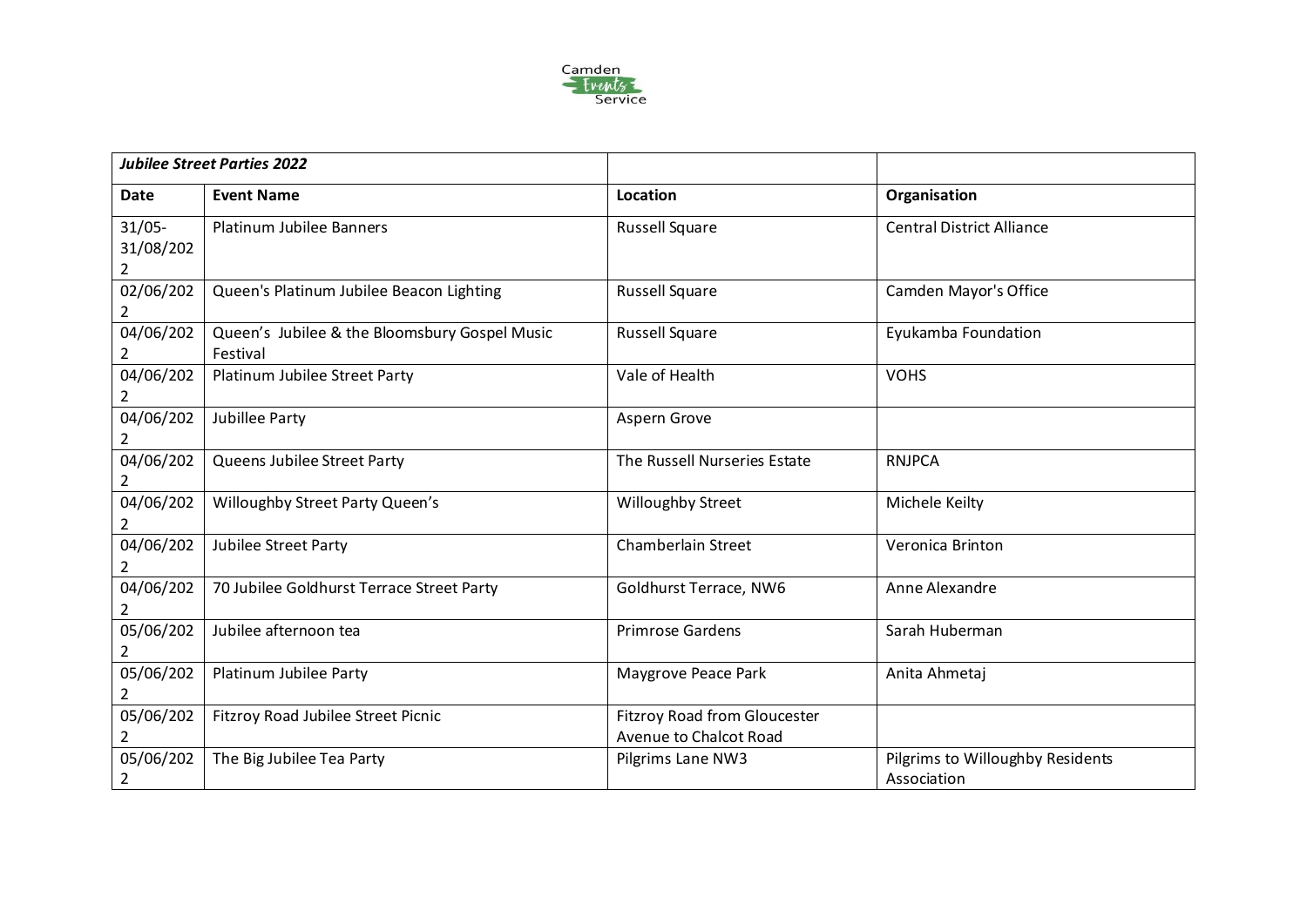

| <b>Jubilee Street Parties 2022</b> |                                                           |                                                        |                                                 |
|------------------------------------|-----------------------------------------------------------|--------------------------------------------------------|-------------------------------------------------|
| Date                               | <b>Event Name</b>                                         | <b>Location</b>                                        | Organisation                                    |
| $31/05 -$<br>31/08/202<br>2        | Platinum Jubilee Banners                                  | <b>Russell Square</b>                                  | <b>Central District Alliance</b>                |
| 02/06/202                          | Queen's Platinum Jubilee Beacon Lighting                  | <b>Russell Square</b>                                  | Camden Mayor's Office                           |
| 04/06/202                          | Queen's Jubilee & the Bloomsbury Gospel Music<br>Festival | <b>Russell Square</b>                                  | Eyukamba Foundation                             |
| 04/06/202                          | Platinum Jubilee Street Party                             | Vale of Health                                         | <b>VOHS</b>                                     |
| 04/06/202                          | Jubillee Party                                            | Aspern Grove                                           |                                                 |
| 04/06/202<br>$\overline{2}$        | Queens Jubilee Street Party                               | The Russell Nurseries Estate                           | <b>RNJPCA</b>                                   |
| 04/06/202                          | Willoughby Street Party Queen's                           | Willoughby Street                                      | Michele Keilty                                  |
| 04/06/202<br>$\overline{2}$        | Jubilee Street Party                                      | Chamberlain Street                                     | Veronica Brinton                                |
| 04/06/202<br>2                     | 70 Jubilee Goldhurst Terrace Street Party                 | Goldhurst Terrace, NW6                                 | Anne Alexandre                                  |
| 05/06/202                          | Jubilee afternoon tea                                     | <b>Primrose Gardens</b>                                | Sarah Huberman                                  |
| 05/06/202<br>2                     | Platinum Jubilee Party                                    | Maygrove Peace Park                                    | Anita Ahmetaj                                   |
| 05/06/202                          | Fitzroy Road Jubilee Street Picnic                        | Fitzroy Road from Gloucester<br>Avenue to Chalcot Road |                                                 |
| 05/06/202<br>2                     | The Big Jubilee Tea Party                                 | Pilgrims Lane NW3                                      | Pilgrims to Willoughby Residents<br>Association |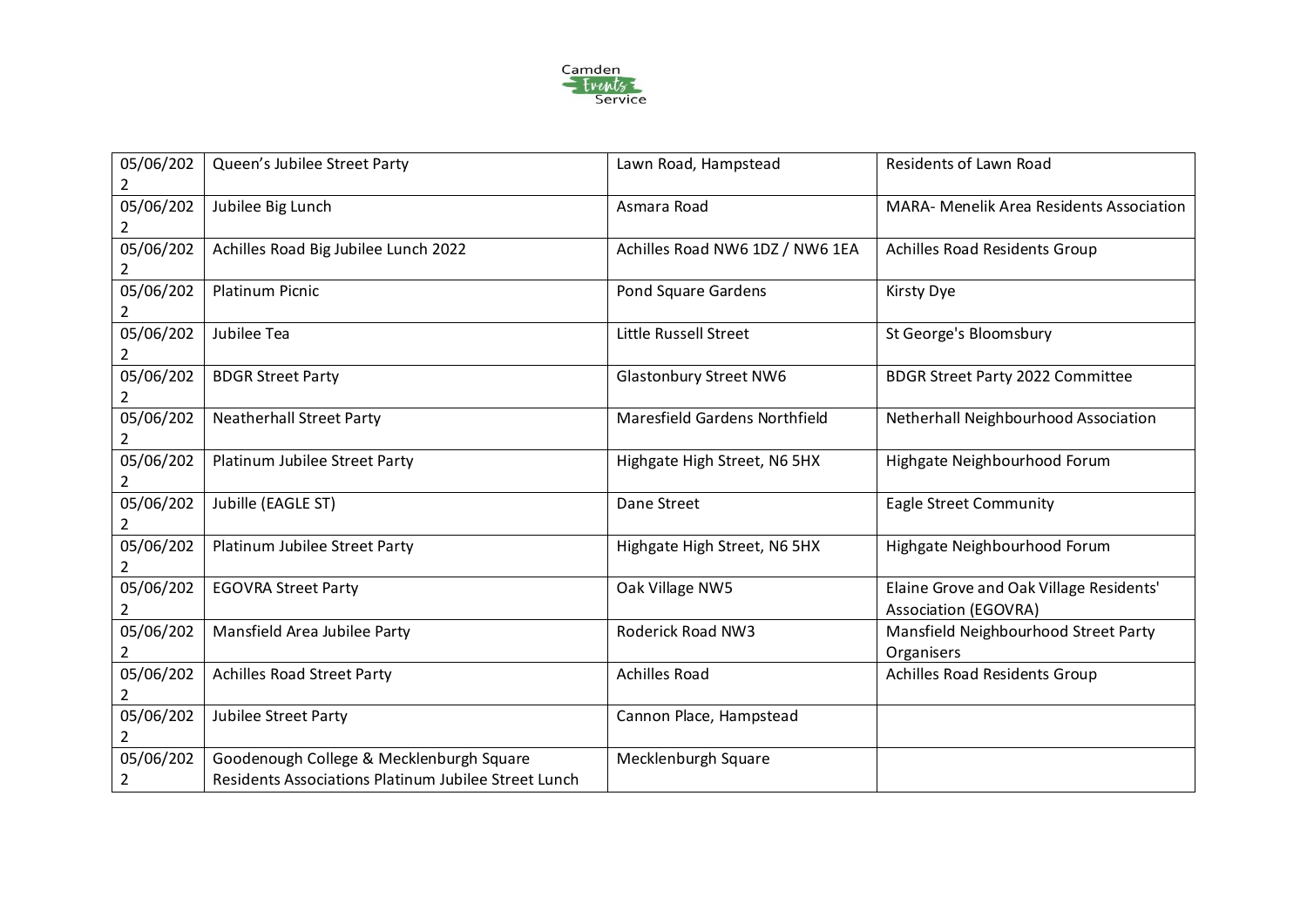

| 05/06/202<br>2              | Queen's Jubilee Street Party                                                                     | Lawn Road, Hampstead            | Residents of Lawn Road                                          |
|-----------------------------|--------------------------------------------------------------------------------------------------|---------------------------------|-----------------------------------------------------------------|
| 05/06/202                   | Jubilee Big Lunch                                                                                | Asmara Road                     | <b>MARA- Menelik Area Residents Association</b>                 |
| 05/06/202<br>2              | Achilles Road Big Jubilee Lunch 2022                                                             | Achilles Road NW6 1DZ / NW6 1EA | Achilles Road Residents Group                                   |
| 05/06/202                   | <b>Platinum Picnic</b>                                                                           | Pond Square Gardens             | <b>Kirsty Dye</b>                                               |
| 05/06/202<br>2              | Jubilee Tea                                                                                      | Little Russell Street           | St George's Bloomsbury                                          |
| 05/06/202                   | <b>BDGR Street Party</b>                                                                         | <b>Glastonbury Street NW6</b>   | <b>BDGR Street Party 2022 Committee</b>                         |
| 05/06/202<br>2              | <b>Neatherhall Street Party</b>                                                                  | Maresfield Gardens Northfield   | Netherhall Neighbourhood Association                            |
| 05/06/202<br>$\overline{2}$ | Platinum Jubilee Street Party                                                                    | Highgate High Street, N6 5HX    | Highgate Neighbourhood Forum                                    |
| 05/06/202<br>2              | Jubille (EAGLE ST)                                                                               | Dane Street                     | <b>Eagle Street Community</b>                                   |
| 05/06/202<br>2              | Platinum Jubilee Street Party                                                                    | Highgate High Street, N6 5HX    | Highgate Neighbourhood Forum                                    |
| 05/06/202                   | <b>EGOVRA Street Party</b>                                                                       | Oak Village NW5                 | Elaine Grove and Oak Village Residents'<br>Association (EGOVRA) |
| 05/06/202                   | Mansfield Area Jubilee Party                                                                     | Roderick Road NW3               | Mansfield Neighbourhood Street Party<br>Organisers              |
| 05/06/202                   | <b>Achilles Road Street Party</b>                                                                | <b>Achilles Road</b>            | Achilles Road Residents Group                                   |
| 05/06/202<br>2              | Jubilee Street Party                                                                             | Cannon Place, Hampstead         |                                                                 |
| 05/06/202<br>2              | Goodenough College & Mecklenburgh Square<br>Residents Associations Platinum Jubilee Street Lunch | Mecklenburgh Square             |                                                                 |